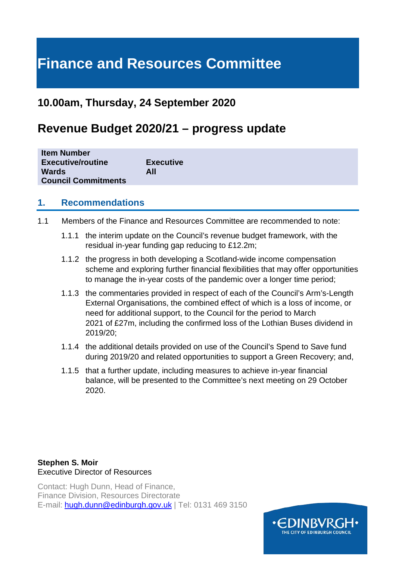# **Finance and Resources Committee**

## **10.00am, Thursday, 24 September 2020**

## **Revenue Budget 2020/21 – progress update**

| <b>Item Number</b>         |                  |
|----------------------------|------------------|
| <b>Executive/routine</b>   | <b>Executive</b> |
| Wards                      | All              |
| <b>Council Commitments</b> |                  |

## **1. Recommendations**

- 1.1 Members of the Finance and Resources Committee are recommended to note:
	- 1.1.1 the interim update on the Council's revenue budget framework, with the residual in-year funding gap reducing to £12.2m;
	- 1.1.2 the progress in both developing a Scotland-wide income compensation scheme and exploring further financial flexibilities that may offer opportunities to manage the in-year costs of the pandemic over a longer time period;
	- 1.1.3 the commentaries provided in respect of each of the Council's Arm's-Length External Organisations, the combined effect of which is a loss of income, or need for additional support, to the Council for the period to March 2021 of £27m, including the confirmed loss of the Lothian Buses dividend in 2019/20;
	- 1.1.4 the additional details provided on use of the Council's Spend to Save fund during 2019/20 and related opportunities to support a Green Recovery; and,
	- 1.1.5 that a further update, including measures to achieve in-year financial balance, will be presented to the Committee's next meeting on 29 October 2020.

## **Stephen S. Moir**  Executive Director of Resources

Contact: Hugh Dunn, Head of Finance, Finance Division, Resources Directorate E-mail: [hugh.dunn@edinburgh.gov.uk](mailto:hugh.dunn@edinburgh.gov.uk) | Tel: 0131 469 3150

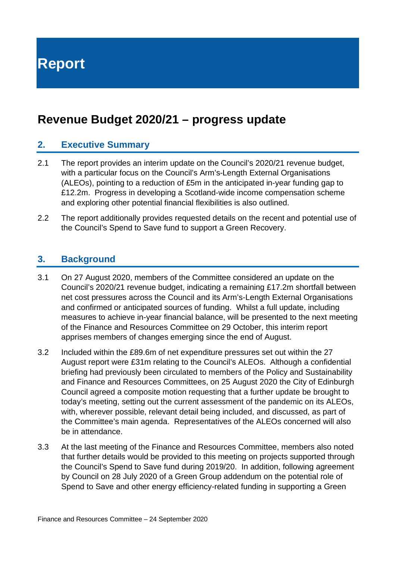**Report**

## **Revenue Budget 2020/21 – progress update**

## **2. Executive Summary**

- 2.1 The report provides an interim update on the Council's 2020/21 revenue budget, with a particular focus on the Council's Arm's-Length External Organisations (ALEOs), pointing to a reduction of £5m in the anticipated in-year funding gap to £12.2m. Progress in developing a Scotland-wide income compensation scheme and exploring other potential financial flexibilities is also outlined.
- 2.2 The report additionally provides requested details on the recent and potential use of the Council's Spend to Save fund to support a Green Recovery.

## **3. Background**

- 3.1 On 27 August 2020, members of the Committee considered an update on the Council's 2020/21 revenue budget, indicating a remaining £17.2m shortfall between net cost pressures across the Council and its Arm's-Length External Organisations and confirmed or anticipated sources of funding. Whilst a full update, including measures to achieve in-year financial balance, will be presented to the next meeting of the Finance and Resources Committee on 29 October, this interim report apprises members of changes emerging since the end of August.
- 3.2 Included within the £89.6m of net expenditure pressures set out within the 27 August report were £31m relating to the Council's ALEOs. Although a confidential briefing had previously been circulated to members of the Policy and Sustainability and Finance and Resources Committees, on 25 August 2020 the City of Edinburgh Council agreed a composite motion requesting that a further update be brought to today's meeting, setting out the current assessment of the pandemic on its ALEOs, with, wherever possible, relevant detail being included, and discussed, as part of the Committee's main agenda. Representatives of the ALEOs concerned will also be in attendance.
- 3.3 At the last meeting of the Finance and Resources Committee, members also noted that further details would be provided to this meeting on projects supported through the Council's Spend to Save fund during 2019/20. In addition, following agreement by Council on 28 July 2020 of a Green Group addendum on the potential role of Spend to Save and other energy efficiency-related funding in supporting a Green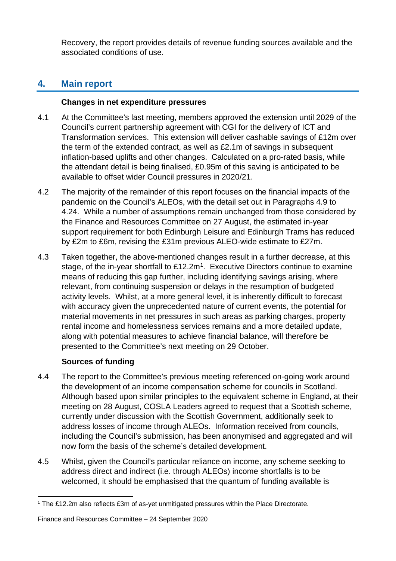Recovery, the report provides details of revenue funding sources available and the associated conditions of use.

## **4. Main report**

## **Changes in net expenditure pressures**

- 4.1 At the Committee's last meeting, members approved the extension until 2029 of the Council's current partnership agreement with CGI for the delivery of ICT and Transformation services. This extension will deliver cashable savings of £12m over the term of the extended contract, as well as £2.1m of savings in subsequent inflation-based uplifts and other changes. Calculated on a pro-rated basis, while the attendant detail is being finalised, £0.95m of this saving is anticipated to be available to offset wider Council pressures in 2020/21.
- 4.2 The majority of the remainder of this report focuses on the financial impacts of the pandemic on the Council's ALEOs, with the detail set out in Paragraphs 4.9 to 4.24. While a number of assumptions remain unchanged from those considered by the Finance and Resources Committee on 27 August, the estimated in-year support requirement for both Edinburgh Leisure and Edinburgh Trams has reduced by £2m to £6m, revising the £31m previous ALEO-wide estimate to £27m.
- 4.3 Taken together, the above-mentioned changes result in a further decrease, at this stage, of the in-year shortfall to £12.2m<sup>1</sup>. Executive Directors continue to examine means of reducing this gap further, including identifying savings arising, where relevant, from continuing suspension or delays in the resumption of budgeted activity levels. Whilst, at a more general level, it is inherently difficult to forecast with accuracy given the unprecedented nature of current events, the potential for material movements in net pressures in such areas as parking charges, property rental income and homelessness services remains and a more detailed update, along with potential measures to achieve financial balance, will therefore be presented to the Committee's next meeting on 29 October.

## **Sources of funding**

- 4.4 The report to the Committee's previous meeting referenced on-going work around the development of an income compensation scheme for councils in Scotland. Although based upon similar principles to the equivalent scheme in England, at their meeting on 28 August, COSLA Leaders agreed to request that a Scottish scheme, currently under discussion with the Scottish Government, additionally seek to address losses of income through ALEOs. Information received from councils, including the Council's submission, has been anonymised and aggregated and will now form the basis of the scheme's detailed development.
- 4.5 Whilst, given the Council's particular reliance on income, any scheme seeking to address direct and indirect (i.e. through ALEOs) income shortfalls is to be welcomed, it should be emphasised that the quantum of funding available is

<span id="page-2-0"></span><sup>1</sup> The £12.2m also reflects £3m of as-yet unmitigated pressures within the Place Directorate.

Finance and Resources Committee – 24 September 2020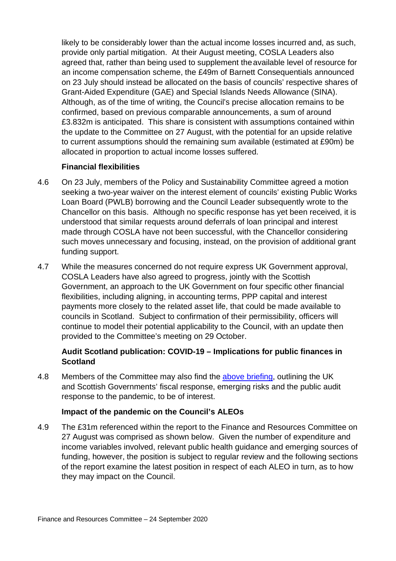likely to be considerably lower than the actual income losses incurred and, as such, provide only partial mitigation. At their August meeting, COSLA Leaders also agreed that, rather than being used to supplement theavailable level of resource for an income compensation scheme, the £49m of Barnett Consequentials announced on 23 July should instead be allocated on the basis of councils' respective shares of Grant-Aided Expenditure (GAE) and Special Islands Needs Allowance (SINA). Although, as of the time of writing, the Council's precise allocation remains to be confirmed, based on previous comparable announcements, a sum of around £3.832m is anticipated. This share is consistent with assumptions contained within the update to the Committee on 27 August, with the potential for an upside relative to current assumptions should the remaining sum available (estimated at £90m) be allocated in proportion to actual income losses suffered.

### **Financial flexibilities**

- 4.6 On 23 July, members of the Policy and Sustainability Committee agreed a motion seeking a two-year waiver on the interest element of councils' existing Public Works Loan Board (PWLB) borrowing and the Council Leader subsequently wrote to the Chancellor on this basis. Although no specific response has yet been received, it is understood that similar requests around deferrals of loan principal and interest made through COSLA have not been successful, with the Chancellor considering such moves unnecessary and focusing, instead, on the provision of additional grant funding support.
- 4.7 While the measures concerned do not require express UK Government approval, COSLA Leaders have also agreed to progress, jointly with the Scottish Government, an approach to the UK Government on four specific other financial flexibilities, including aligning, in accounting terms, PPP capital and interest payments more closely to the related asset life, that could be made available to councils in Scotland. Subject to confirmation of their permissibility, officers will continue to model their potential applicability to the Council, with an update then provided to the Committee's meeting on 29 October.

## **Audit Scotland publication: COVID-19 – Implications for public finances in Scotland**

4.8 Members of the Committee may also find the [above briefing,](https://www.audit-scotland.gov.uk/uploads/docs/report/2020/briefing_200820_covid.pdf) outlining the UK and Scottish Governments' fiscal response, emerging risks and the public audit response to the pandemic, to be of interest.

## **Impact of the pandemic on the Council's ALEOs**

4.9 The £31m referenced within the report to the Finance and Resources Committee on 27 August was comprised as shown below. Given the number of expenditure and income variables involved, relevant public health guidance and emerging sources of funding, however, the position is subject to regular review and the following sections of the report examine the latest position in respect of each ALEO in turn, as to how they may impact on the Council.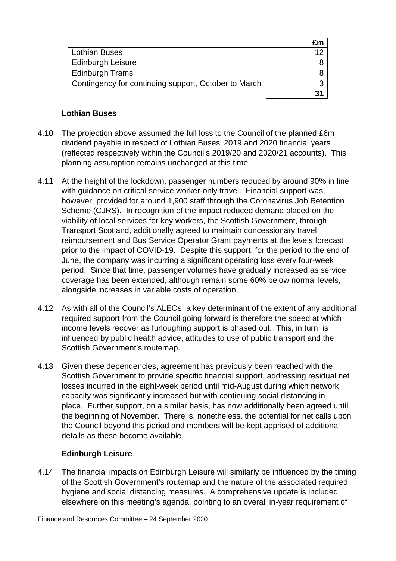| <b>Lothian Buses</b>                                 |  |
|------------------------------------------------------|--|
| <b>Edinburgh Leisure</b>                             |  |
| <b>Edinburgh Trams</b>                               |  |
| Contingency for continuing support, October to March |  |
|                                                      |  |

## **Lothian Buses**

- 4.10 The projection above assumed the full loss to the Council of the planned £6m dividend payable in respect of Lothian Buses' 2019 and 2020 financial years (reflected respectively within the Council's 2019/20 and 2020/21 accounts). This planning assumption remains unchanged at this time.
- 4.11 At the height of the lockdown, passenger numbers reduced by around 90% in line with guidance on critical service worker-only travel. Financial support was, however, provided for around 1,900 staff through the Coronavirus Job Retention Scheme (CJRS). In recognition of the impact reduced demand placed on the viability of local services for key workers, the Scottish Government, through Transport Scotland, additionally agreed to maintain concessionary travel reimbursement and Bus Service Operator Grant payments at the levels forecast prior to the impact of COVID-19. Despite this support, for the period to the end of June, the company was incurring a significant operating loss every four-week period. Since that time, passenger volumes have gradually increased as service coverage has been extended, although remain some 60% below normal levels, alongside increases in variable costs of operation.
- 4.12 As with all of the Council's ALEOs, a key determinant of the extent of any additional required support from the Council going forward is therefore the speed at which income levels recover as furloughing support is phased out. This, in turn, is influenced by public health advice, attitudes to use of public transport and the Scottish Government's routemap.
- 4.13 Given these dependencies, agreement has previously been reached with the Scottish Government to provide specific financial support, addressing residual net losses incurred in the eight-week period until mid-August during which network capacity was significantly increased but with continuing social distancing in place. Further support, on a similar basis, has now additionally been agreed until the beginning of November. There is, nonetheless, the potential for net calls upon the Council beyond this period and members will be kept apprised of additional details as these become available.

## **Edinburgh Leisure**

4.14 The financial impacts on Edinburgh Leisure will similarly be influenced by the timing of the Scottish Government's routemap and the nature of the associated required hygiene and social distancing measures. A comprehensive update is included elsewhere on this meeting's agenda, pointing to an overall in-year requirement of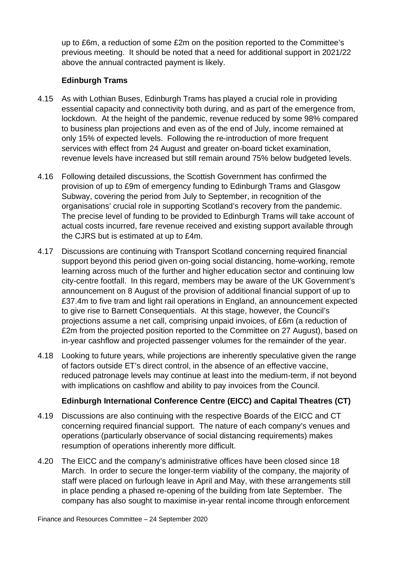up to £6m, a reduction of some £2m on the position reported to the Committee's previous meeting. It should be noted that a need for additional support in 2021/22 above the annual contracted payment is likely.

## **Edinburgh Trams**

- 4.15 As with Lothian Buses, Edinburgh Trams has played a crucial role in providing essential capacity and connectivity both during, and as part of the emergence from, lockdown. At the height of the pandemic, revenue reduced by some 98% compared to business plan projections and even as of the end of July, income remained at only 15% of expected levels. Following the re-introduction of more frequent services with effect from 24 August and greater on-board ticket examination, revenue levels have increased but still remain around 75% below budgeted levels.
- 4.16 Following detailed discussions, the Scottish Government has confirmed the provision of up to £9m of emergency funding to Edinburgh Trams and Glasgow Subway, covering the period from July to September, in recognition of the organisations' crucial role in supporting Scotland's recovery from the pandemic. The precise level of funding to be provided to Edinburgh Trams will take account of actual costs incurred, fare revenue received and existing support available through the CJRS but is estimated at up to £4m.
- 4.17 Discussions are continuing with Transport Scotland concerning required financial support beyond this period given on-going social distancing, home-working, remote learning across much of the further and higher education sector and continuing low city-centre footfall. In this regard, members may be aware of the UK Government's announcement on 8 August of the provision of additional financial support of up to £37.4m to five tram and light rail operations in England, an announcement expected to give rise to Barnett Consequentials. At this stage, however, the Council's projections assume a net call, comprising unpaid invoices, of £6m (a reduction of £2m from the projected position reported to the Committee on 27 August), based on in-year cashflow and projected passenger volumes for the remainder of the year.
- 4.18 Looking to future years, while projections are inherently speculative given the range of factors outside ET's direct control, in the absence of an effective vaccine, reduced patronage levels may continue at least into the medium-term, if not beyond with implications on cashflow and ability to pay invoices from the Council.

## **Edinburgh International Conference Centre (EICC) and Capital Theatres (CT)**

- 4.19 Discussions are also continuing with the respective Boards of the EICC and CT concerning required financial support. The nature of each company's venues and operations (particularly observance of social distancing requirements) makes resumption of operations inherently more difficult.
- 4.20 The EICC and the company's administrative offices have been closed since 18 March. In order to secure the longer-term viability of the company, the majority of staff were placed on furlough leave in April and May, with these arrangements still in place pending a phased re-opening of the building from late September. The company has also sought to maximise in-year rental income through enforcement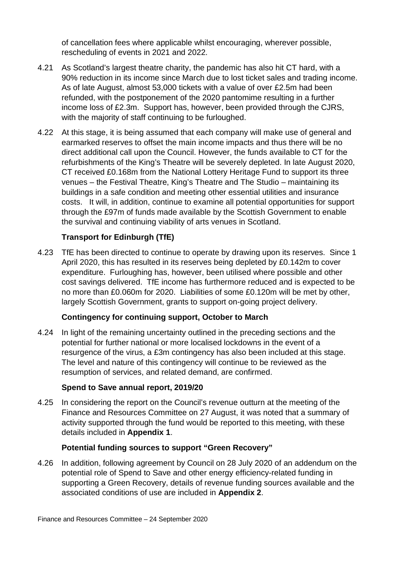of cancellation fees where applicable whilst encouraging, wherever possible, rescheduling of events in 2021 and 2022.

- 4.21 As Scotland's largest theatre charity, the pandemic has also hit CT hard, with a 90% reduction in its income since March due to lost ticket sales and trading income. As of late August, almost 53,000 tickets with a value of over £2.5m had been refunded, with the postponement of the 2020 pantomime resulting in a further income loss of £2.3m. Support has, however, been provided through the CJRS, with the majority of staff continuing to be furloughed.
- 4.22 At this stage, it is being assumed that each company will make use of general and earmarked reserves to offset the main income impacts and thus there will be no direct additional call upon the Council. However, the funds available to CT for the refurbishments of the King's Theatre will be severely depleted. In late August 2020, CT received £0.168m from the National Lottery Heritage Fund to support its three venues – the Festival Theatre, King's Theatre and The Studio – maintaining its buildings in a safe condition and meeting other essential utilities and insurance costs. It will, in addition, continue to examine all potential opportunities for support through the £97m of funds made available by the Scottish Government to enable the survival and continuing viability of arts venues in Scotland.

## **Transport for Edinburgh (TfE)**

4.23 TfE has been directed to continue to operate by drawing upon its reserves. Since 1 April 2020, this has resulted in its reserves being depleted by £0.142m to cover expenditure. Furloughing has, however, been utilised where possible and other cost savings delivered. TfE income has furthermore reduced and is expected to be no more than £0.060m for 2020. Liabilities of some £0.120m will be met by other, largely Scottish Government, grants to support on-going project delivery.

## **Contingency for continuing support, October to March**

4.24 In light of the remaining uncertainty outlined in the preceding sections and the potential for further national or more localised lockdowns in the event of a resurgence of the virus, a £3m contingency has also been included at this stage. The level and nature of this contingency will continue to be reviewed as the resumption of services, and related demand, are confirmed.

#### **Spend to Save annual report, 2019/20**

4.25 In considering the report on the Council's revenue outturn at the meeting of the Finance and Resources Committee on 27 August, it was noted that a summary of activity supported through the fund would be reported to this meeting, with these details included in **Appendix 1**.

#### **Potential funding sources to support "Green Recovery"**

4.26 In addition, following agreement by Council on 28 July 2020 of an addendum on the potential role of Spend to Save and other energy efficiency-related funding in supporting a Green Recovery, details of revenue funding sources available and the associated conditions of use are included in **Appendix 2**.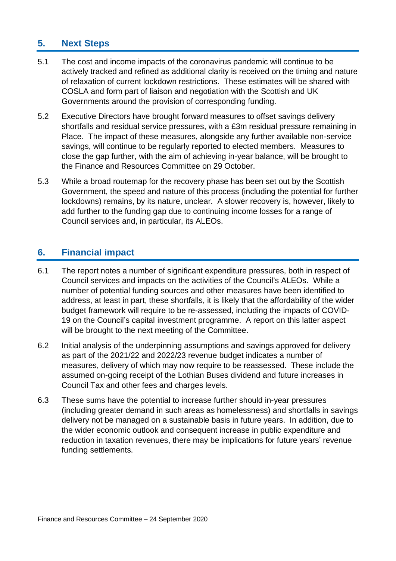## **5. Next Steps**

- 5.1 The cost and income impacts of the coronavirus pandemic will continue to be actively tracked and refined as additional clarity is received on the timing and nature of relaxation of current lockdown restrictions. These estimates will be shared with COSLA and form part of liaison and negotiation with the Scottish and UK Governments around the provision of corresponding funding.
- 5.2 Executive Directors have brought forward measures to offset savings delivery shortfalls and residual service pressures, with a £3m residual pressure remaining in Place. The impact of these measures, alongside any further available non-service savings, will continue to be regularly reported to elected members. Measures to close the gap further, with the aim of achieving in-year balance, will be brought to the Finance and Resources Committee on 29 October.
- 5.3 While a broad routemap for the recovery phase has been set out by the Scottish Government, the speed and nature of this process (including the potential for further lockdowns) remains, by its nature, unclear. A slower recovery is, however, likely to add further to the funding gap due to continuing income losses for a range of Council services and, in particular, its ALEOs.

## **6. Financial impact**

- 6.1 The report notes a number of significant expenditure pressures, both in respect of Council services and impacts on the activities of the Council's ALEOs. While a number of potential funding sources and other measures have been identified to address, at least in part, these shortfalls, it is likely that the affordability of the wider budget framework will require to be re-assessed, including the impacts of COVID-19 on the Council's capital investment programme. A report on this latter aspect will be brought to the next meeting of the Committee.
- 6.2 Initial analysis of the underpinning assumptions and savings approved for delivery as part of the 2021/22 and 2022/23 revenue budget indicates a number of measures, delivery of which may now require to be reassessed. These include the assumed on-going receipt of the Lothian Buses dividend and future increases in Council Tax and other fees and charges levels.
- 6.3 These sums have the potential to increase further should in-year pressures (including greater demand in such areas as homelessness) and shortfalls in savings delivery not be managed on a sustainable basis in future years. In addition, due to the wider economic outlook and consequent increase in public expenditure and reduction in taxation revenues, there may be implications for future years' revenue funding settlements.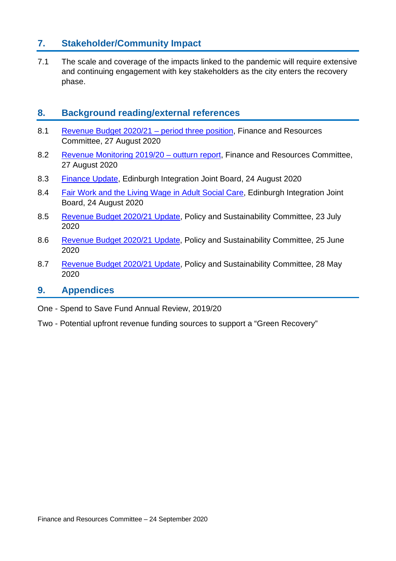## **7. Stakeholder/Community Impact**

7.1 The scale and coverage of the impacts linked to the pandemic will require extensive and continuing engagement with key stakeholders as the city enters the recovery phase.

## **8. Background reading/external references**

- 8.1 [Revenue Budget 2020/21 –](https://democracy.edinburgh.gov.uk/documents/s25584/7.4%20-%20Revenue%20Budget%202020-21%20Update.pdf) period three position, Finance and Resources Committee, 27 August 2020
- 8.2 [Revenue Monitoring 2019/20 –](https://democracy.edinburgh.gov.uk/documents/s25581/7.1%20-%20Revenue%20Monitoring%20201920%20-%20Outturn%20Report.pdf) outturn report, Finance and Resources Committee, 27 August 2020
- 8.3 [Finance Update,](https://democracy.edinburgh.gov.uk/documents/s25358/8.1%20-%20Finance%20Update.pdf) Edinburgh Integration Joint Board, 24 August 2020
- 8.4 [Fair Work and the Living Wage in Adult Social Care,](https://democracy.edinburgh.gov.uk/documents/s25360/8.2%20-%20Fair%20Work%20and%20the%20Living%20Wage%20in%20Adult%20Social%20Care.pdf) Edinburgh Integration Joint Board, 24 August 2020
- 8.5 [Revenue Budget 2020/21 Update,](https://democracy.edinburgh.gov.uk/documents/s24852/6.6%20-%20Revenue%20Budget%20Update%2020-21.pdf) Policy and Sustainability Committee, 23 July 2020
- 8.6 [Revenue Budget 2020/21 Update,](https://democracy.edinburgh.gov.uk/documents/s24506/Item%206.3%20-%20Revenue%20Budget%202020-21%20Update.pdf) Policy and Sustainability Committee, 25 June 2020
- 8.7 [Revenue Budget 2020/21 Update,](https://democracy.edinburgh.gov.uk/documents/s24143/6.4%20-%20Revenue%20Budget%20Update%2020.21.pdf) Policy and Sustainability Committee, 28 May 2020

## **9. Appendices**

One - Spend to Save Fund Annual Review, 2019/20

Two - Potential upfront revenue funding sources to support a "Green Recovery"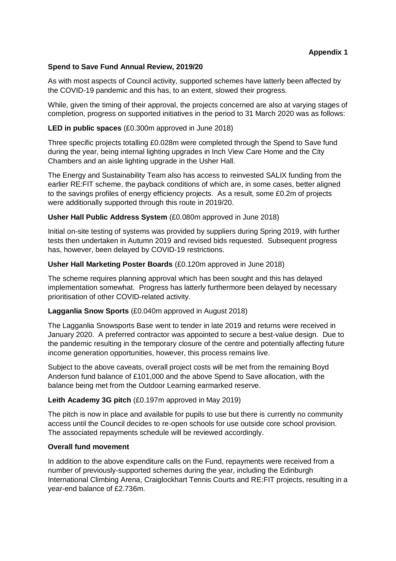#### **Appendix 1**

#### **Spend to Save Fund Annual Review, 2019/20**

As with most aspects of Council activity, supported schemes have latterly been affected by the COVID-19 pandemic and this has, to an extent, slowed their progress.

While, given the timing of their approval, the projects concerned are also at varying stages of completion, progress on supported initiatives in the period to 31 March 2020 was as follows:

#### **LED in public spaces** (£0.300m approved in June 2018)

Three specific projects totalling £0.028m were completed through the Spend to Save fund during the year, being internal lighting upgrades in Inch View Care Home and the City Chambers and an aisle lighting upgrade in the Usher Hall.

The Energy and Sustainability Team also has access to reinvested SALIX funding from the earlier RE:FIT scheme, the payback conditions of which are, in some cases, better aligned to the savings profiles of energy efficiency projects. As a result, some £0.2m of projects were additionally supported through this route in 2019/20.

#### **Usher Hall Public Address System** (£0.080m approved in June 2018)

Initial on-site testing of systems was provided by suppliers during Spring 2019, with further tests then undertaken in Autumn 2019 and revised bids requested. Subsequent progress has, however, been delayed by COVID-19 restrictions.

#### **Usher Hall Marketing Poster Boards** (£0.120m approved in June 2018)

The scheme requires planning approval which has been sought and this has delayed implementation somewhat. Progress has latterly furthermore been delayed by necessary prioritisation of other COVID-related activity.

#### **Lagganlia Snow Sports** (£0.040m approved in August 2018)

The Lagganlia Snowsports Base went to tender in late 2019 and returns were received in January 2020. A preferred contractor was appointed to secure a best-value design. Due to the pandemic resulting in the temporary closure of the centre and potentially affecting future income generation opportunities, however, this process remains live.

Subject to the above caveats, overall project costs will be met from the remaining Boyd Anderson fund balance of £101,000 and the above Spend to Save allocation, with the balance being met from the Outdoor Learning earmarked reserve.

#### **Leith Academy 3G pitch** (£0.197m approved in May 2019)

The pitch is now in place and available for pupils to use but there is currently no community access until the Council decides to re-open schools for use outside core school provision. The associated repayments schedule will be reviewed accordingly.

#### **Overall fund movement**

In addition to the above expenditure calls on the Fund, repayments were received from a number of previously-supported schemes during the year, including the Edinburgh International Climbing Arena, Craiglockhart Tennis Courts and RE:FIT projects, resulting in a year-end balance of £2.736m.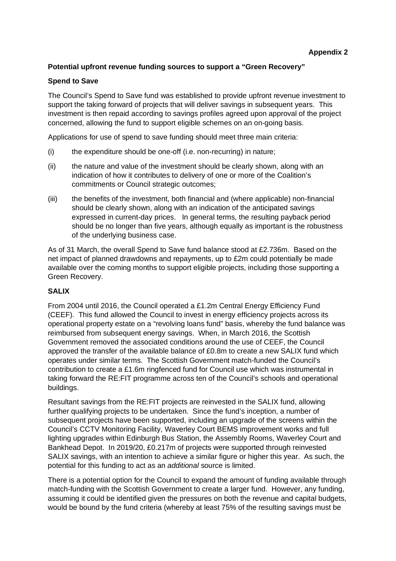#### **Potential upfront revenue funding sources to support a "Green Recovery"**

#### **Spend to Save**

The Council's Spend to Save fund was established to provide upfront revenue investment to support the taking forward of projects that will deliver savings in subsequent years. This investment is then repaid according to savings profiles agreed upon approval of the project concerned, allowing the fund to support eligible schemes on an on-going basis.

Applications for use of spend to save funding should meet three main criteria:

- (i) the expenditure should be one-off (i.e. non-recurring) in nature;
- (ii) the nature and value of the investment should be clearly shown, along with an indication of how it contributes to delivery of one or more of the Coalition's commitments or Council strategic outcomes;
- (iii) the benefits of the investment, both financial and (where applicable) non-financial should be clearly shown, along with an indication of the anticipated savings expressed in current-day prices. In general terms, the resulting payback period should be no longer than five years, although equally as important is the robustness of the underlying business case.

As of 31 March, the overall Spend to Save fund balance stood at £2.736m. Based on the net impact of planned drawdowns and repayments, up to £2m could potentially be made available over the coming months to support eligible projects, including those supporting a Green Recovery.

#### **SALIX**

From 2004 until 2016, the Council operated a £1.2m Central Energy Efficiency Fund (CEEF). This fund allowed the Council to invest in energy efficiency projects across its operational property estate on a "revolving loans fund" basis, whereby the fund balance was reimbursed from subsequent energy savings. When, in March 2016, the Scottish Government removed the associated conditions around the use of CEEF, the Council approved the transfer of the available balance of £0.8m to create a new SALIX fund which operates under similar terms. The Scottish Government match-funded the Council's contribution to create a £1.6m ringfenced fund for Council use which was instrumental in taking forward the RE:FIT programme across ten of the Council's schools and operational buildings.

Resultant savings from the RE:FIT projects are reinvested in the SALIX fund, allowing further qualifying projects to be undertaken. Since the fund's inception, a number of subsequent projects have been supported, including an upgrade of the screens within the Council's CCTV Monitoring Facility, Waverley Court BEMS improvement works and full lighting upgrades within Edinburgh Bus Station, the Assembly Rooms, Waverley Court and Bankhead Depot. In 2019/20, £0.217m of projects were supported through reinvested SALIX savings, with an intention to achieve a similar figure or higher this year. As such, the potential for this funding to act as an *additional* source is limited.

There is a potential option for the Council to expand the amount of funding available through match-funding with the Scottish Government to create a larger fund. However, any funding, assuming it could be identified given the pressures on both the revenue and capital budgets, would be bound by the fund criteria (whereby at least 75% of the resulting savings must be